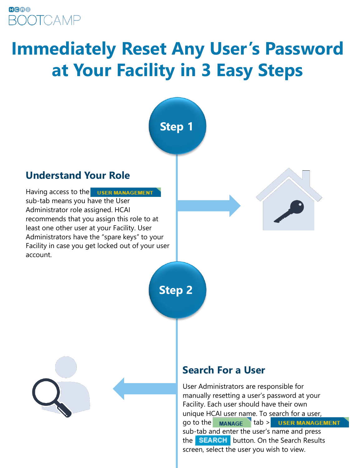### **GGOO ROOTCAMP**

# **Immediately Reset Any User's Password at Your Facility in 3 Easy Steps**



sub-tab and enter the user's name and press the **SEARCH** button. On the Search Results screen, select the user you wish to view.